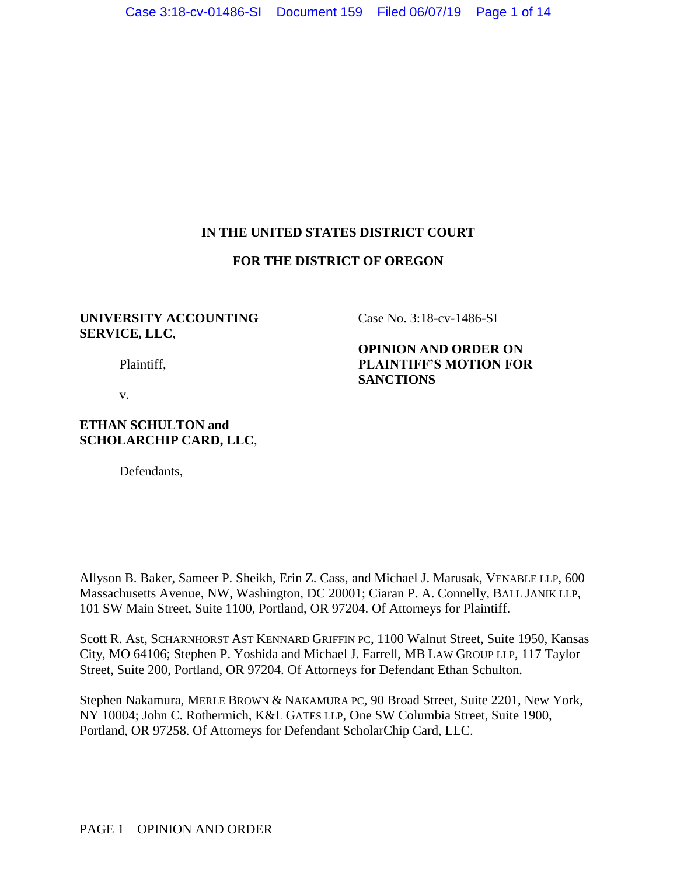# **IN THE UNITED STATES DISTRICT COURT**

# **FOR THE DISTRICT OF OREGON**

# **UNIVERSITY ACCOUNTING SERVICE, LLC**,

Plaintiff,

v.

# **ETHAN SCHULTON and SCHOLARCHIP CARD, LLC**,

Defendants,

Case No. 3:18-cv-1486-SI

**OPINION AND ORDER ON PLAINTIFF'S MOTION FOR SANCTIONS**

Allyson B. Baker, Sameer P. Sheikh, Erin Z. Cass, and Michael J. Marusak, VENABLE LLP, 600 Massachusetts Avenue, NW, Washington, DC 20001; Ciaran P. A. Connelly, BALL JANIK LLP, 101 SW Main Street, Suite 1100, Portland, OR 97204. Of Attorneys for Plaintiff.

Scott R. Ast, SCHARNHORST AST KENNARD GRIFFIN PC, 1100 Walnut Street, Suite 1950, Kansas City, MO 64106; Stephen P. Yoshida and Michael J. Farrell, MB LAW GROUP LLP, 117 Taylor Street, Suite 200, Portland, OR 97204. Of Attorneys for Defendant Ethan Schulton.

Stephen Nakamura, MERLE BROWN & NAKAMURA PC, 90 Broad Street, Suite 2201, New York, NY 10004; John C. Rothermich, K&L GATES LLP, One SW Columbia Street, Suite 1900, Portland, OR 97258. Of Attorneys for Defendant ScholarChip Card, LLC.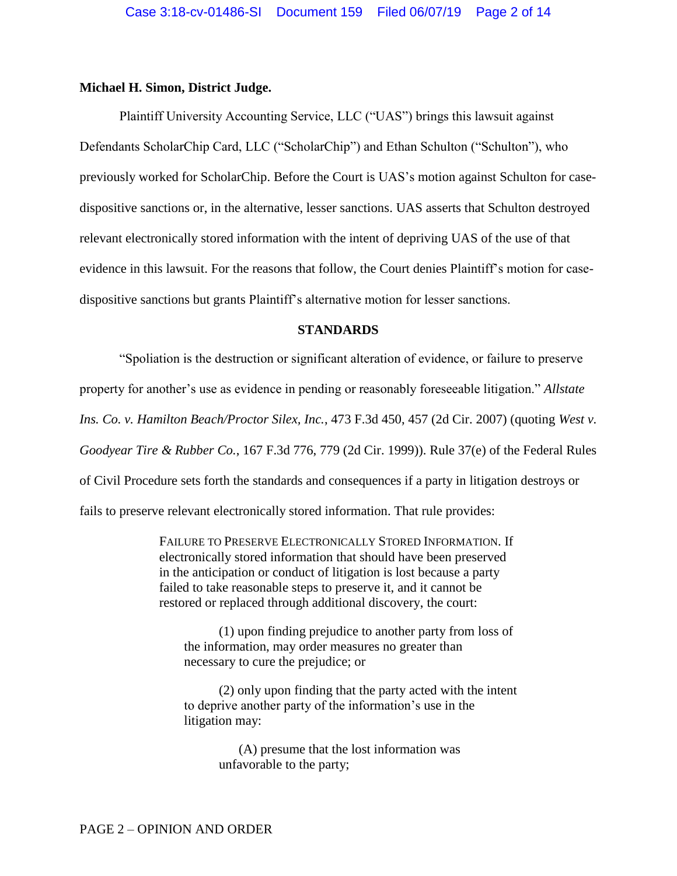### **Michael H. Simon, District Judge.**

Plaintiff University Accounting Service, LLC ("UAS") brings this lawsuit against Defendants ScholarChip Card, LLC ("ScholarChip") and Ethan Schulton ("Schulton"), who previously worked for ScholarChip. Before the Court is UAS's motion against Schulton for casedispositive sanctions or, in the alternative, lesser sanctions. UAS asserts that Schulton destroyed relevant electronically stored information with the intent of depriving UAS of the use of that evidence in this lawsuit. For the reasons that follow, the Court denies Plaintiff's motion for casedispositive sanctions but grants Plaintiff's alternative motion for lesser sanctions.

## **STANDARDS**

"Spoliation is the destruction or significant alteration of evidence, or failure to preserve property for another's use as evidence in pending or reasonably foreseeable litigation." *Allstate Ins. Co. v. Hamilton Beach/Proctor Silex, Inc.*, 473 F.3d 450, 457 (2d Cir. 2007) (quoting *West v. Goodyear Tire & Rubber Co.*, 167 F.3d 776, 779 (2d Cir. 1999)). Rule 37(e) of the Federal Rules of Civil Procedure sets forth the standards and consequences if a party in litigation destroys or fails to preserve relevant electronically stored information. That rule provides:

> FAILURE TO PRESERVE ELECTRONICALLY STORED INFORMATION. If electronically stored information that should have been preserved in the anticipation or conduct of litigation is lost because a party failed to take reasonable steps to preserve it, and it cannot be restored or replaced through additional discovery, the court:

(1) upon finding prejudice to another party from loss of the information, may order measures no greater than necessary to cure the prejudice; or

(2) only upon finding that the party acted with the intent to deprive another party of the information's use in the litigation may:

> (A) presume that the lost information was unfavorable to the party;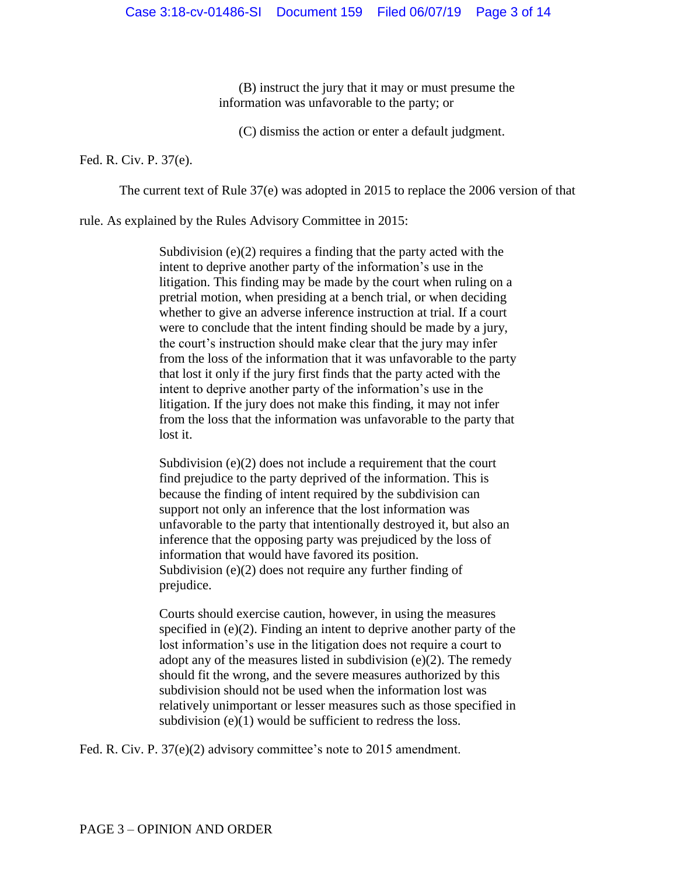(B) instruct the jury that it may or must presume the information was unfavorable to the party; or

(C) dismiss the action or enter a default judgment.

Fed. R. Civ. P. 37(e).

The current text of Rule 37(e) was adopted in 2015 to replace the 2006 version of that

rule. As explained by the Rules Advisory Committee in 2015:

Subdivision (e)(2) requires a finding that the party acted with the intent to deprive another party of the information's use in the litigation. This finding may be made by the court when ruling on a pretrial motion, when presiding at a bench trial, or when deciding whether to give an adverse inference instruction at trial. If a court were to conclude that the intent finding should be made by a jury, the court's instruction should make clear that the jury may infer from the loss of the information that it was unfavorable to the party that lost it only if the jury first finds that the party acted with the intent to deprive another party of the information's use in the litigation. If the jury does not make this finding, it may not infer from the loss that the information was unfavorable to the party that lost it.

Subdivision (e)(2) does not include a requirement that the court find prejudice to the party deprived of the information. This is because the finding of intent required by the subdivision can support not only an inference that the lost information was unfavorable to the party that intentionally destroyed it, but also an inference that the opposing party was prejudiced by the loss of information that would have favored its position. Subdivision (e)(2) does not require any further finding of prejudice.

Courts should exercise caution, however, in using the measures specified in (e)(2). Finding an intent to deprive another party of the lost information's use in the litigation does not require a court to adopt any of the measures listed in subdivision (e)(2). The remedy should fit the wrong, and the severe measures authorized by this subdivision should not be used when the information lost was relatively unimportant or lesser measures such as those specified in subdivision (e)(1) would be sufficient to redress the loss.

Fed. R. Civ. P. 37(e)(2) advisory committee's note to 2015 amendment.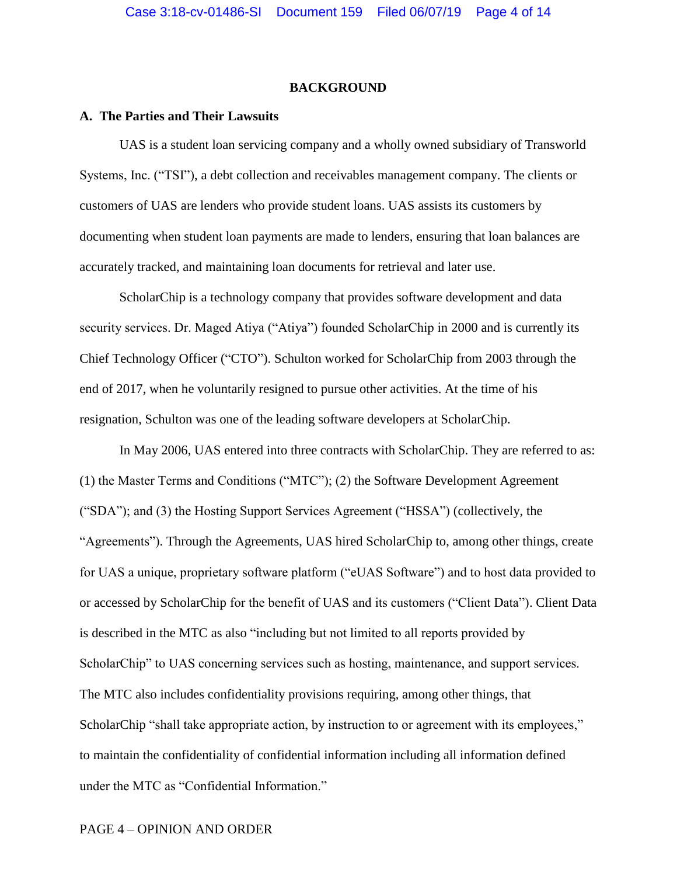### **BACKGROUND**

## **A. The Parties and Their Lawsuits**

UAS is a student loan servicing company and a wholly owned subsidiary of Transworld Systems, Inc. ("TSI"), a debt collection and receivables management company. The clients or customers of UAS are lenders who provide student loans. UAS assists its customers by documenting when student loan payments are made to lenders, ensuring that loan balances are accurately tracked, and maintaining loan documents for retrieval and later use.

ScholarChip is a technology company that provides software development and data security services. Dr. Maged Atiya ("Atiya") founded ScholarChip in 2000 and is currently its Chief Technology Officer ("CTO"). Schulton worked for ScholarChip from 2003 through the end of 2017, when he voluntarily resigned to pursue other activities. At the time of his resignation, Schulton was one of the leading software developers at ScholarChip.

In May 2006, UAS entered into three contracts with ScholarChip. They are referred to as: (1) the Master Terms and Conditions ("MTC"); (2) the Software Development Agreement ("SDA"); and (3) the Hosting Support Services Agreement ("HSSA") (collectively, the "Agreements"). Through the Agreements, UAS hired ScholarChip to, among other things, create for UAS a unique, proprietary software platform ("eUAS Software") and to host data provided to or accessed by ScholarChip for the benefit of UAS and its customers ("Client Data"). Client Data is described in the MTC as also "including but not limited to all reports provided by ScholarChip" to UAS concerning services such as hosting, maintenance, and support services. The MTC also includes confidentiality provisions requiring, among other things, that ScholarChip "shall take appropriate action, by instruction to or agreement with its employees," to maintain the confidentiality of confidential information including all information defined under the MTC as "Confidential Information."

#### PAGE 4 – OPINION AND ORDER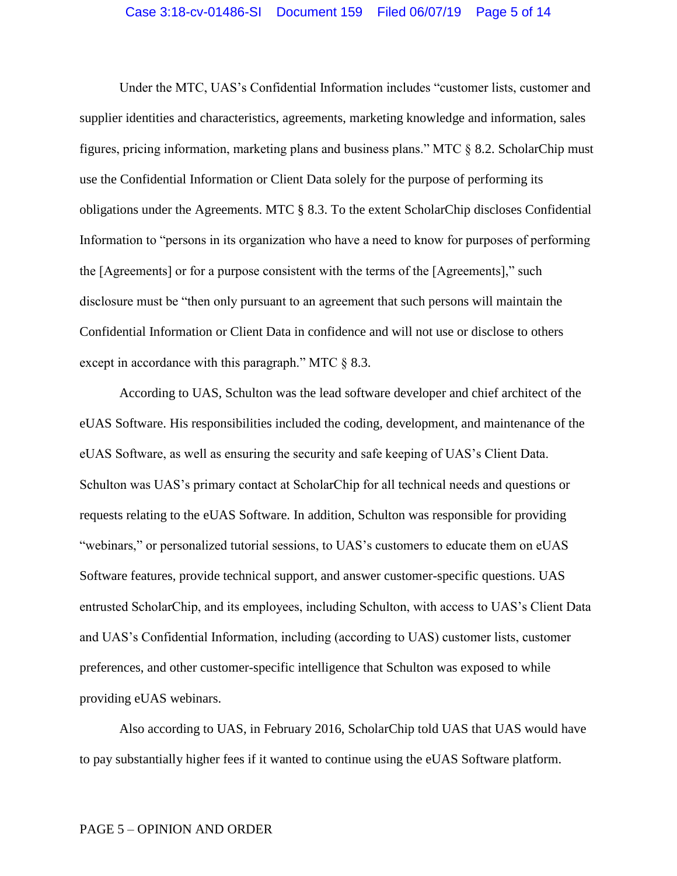Under the MTC, UAS's Confidential Information includes "customer lists, customer and supplier identities and characteristics, agreements, marketing knowledge and information, sales figures, pricing information, marketing plans and business plans." MTC § 8.2. ScholarChip must use the Confidential Information or Client Data solely for the purpose of performing its obligations under the Agreements. MTC § 8.3. To the extent ScholarChip discloses Confidential Information to "persons in its organization who have a need to know for purposes of performing the [Agreements] or for a purpose consistent with the terms of the [Agreements]," such disclosure must be "then only pursuant to an agreement that such persons will maintain the Confidential Information or Client Data in confidence and will not use or disclose to others except in accordance with this paragraph." MTC § 8.3.

According to UAS, Schulton was the lead software developer and chief architect of the eUAS Software. His responsibilities included the coding, development, and maintenance of the eUAS Software, as well as ensuring the security and safe keeping of UAS's Client Data. Schulton was UAS's primary contact at ScholarChip for all technical needs and questions or requests relating to the eUAS Software. In addition, Schulton was responsible for providing "webinars," or personalized tutorial sessions, to UAS's customers to educate them on eUAS Software features, provide technical support, and answer customer-specific questions. UAS entrusted ScholarChip, and its employees, including Schulton, with access to UAS's Client Data and UAS's Confidential Information, including (according to UAS) customer lists, customer preferences, and other customer-specific intelligence that Schulton was exposed to while providing eUAS webinars.

Also according to UAS, in February 2016, ScholarChip told UAS that UAS would have to pay substantially higher fees if it wanted to continue using the eUAS Software platform.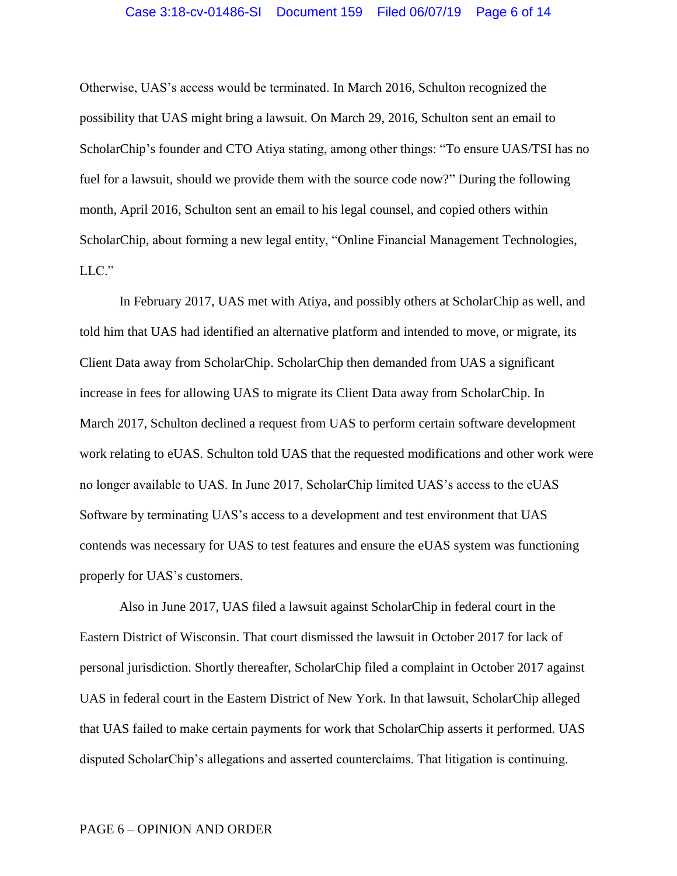#### Case 3:18-cv-01486-SI Document 159 Filed 06/07/19 Page 6 of 14

Otherwise, UAS's access would be terminated. In March 2016, Schulton recognized the possibility that UAS might bring a lawsuit. On March 29, 2016, Schulton sent an email to ScholarChip's founder and CTO Atiya stating, among other things: "To ensure UAS/TSI has no fuel for a lawsuit, should we provide them with the source code now?" During the following month, April 2016, Schulton sent an email to his legal counsel, and copied others within ScholarChip, about forming a new legal entity, "Online Financial Management Technologies, LLC."

In February 2017, UAS met with Atiya, and possibly others at ScholarChip as well, and told him that UAS had identified an alternative platform and intended to move, or migrate, its Client Data away from ScholarChip. ScholarChip then demanded from UAS a significant increase in fees for allowing UAS to migrate its Client Data away from ScholarChip. In March 2017, Schulton declined a request from UAS to perform certain software development work relating to eUAS. Schulton told UAS that the requested modifications and other work were no longer available to UAS. In June 2017, ScholarChip limited UAS's access to the eUAS Software by terminating UAS's access to a development and test environment that UAS contends was necessary for UAS to test features and ensure the eUAS system was functioning properly for UAS's customers.

Also in June 2017, UAS filed a lawsuit against ScholarChip in federal court in the Eastern District of Wisconsin. That court dismissed the lawsuit in October 2017 for lack of personal jurisdiction. Shortly thereafter, ScholarChip filed a complaint in October 2017 against UAS in federal court in the Eastern District of New York. In that lawsuit, ScholarChip alleged that UAS failed to make certain payments for work that ScholarChip asserts it performed. UAS disputed ScholarChip's allegations and asserted counterclaims. That litigation is continuing.

### PAGE 6 – OPINION AND ORDER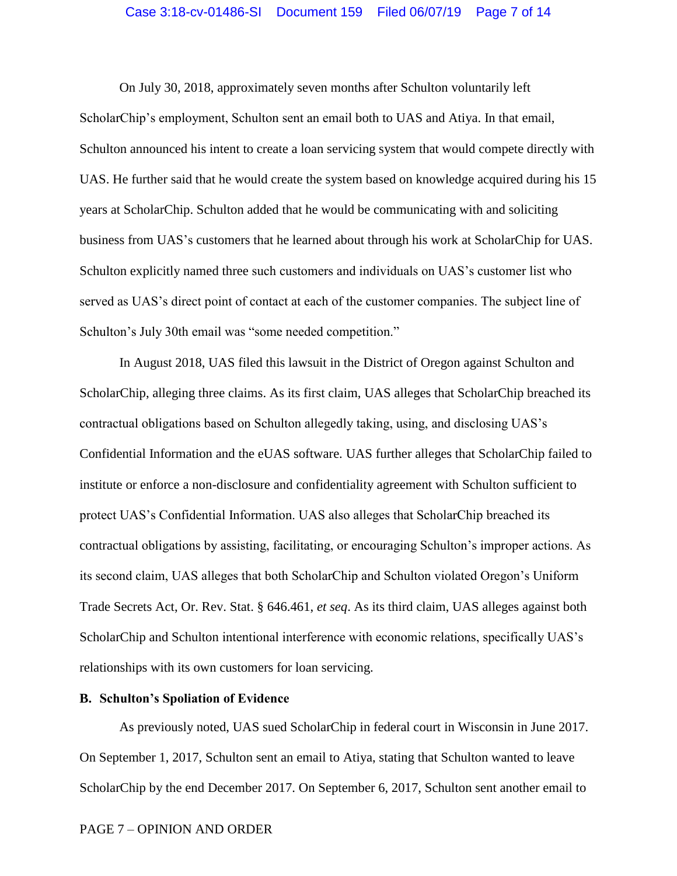## Case 3:18-cv-01486-SI Document 159 Filed 06/07/19 Page 7 of 14

On July 30, 2018, approximately seven months after Schulton voluntarily left ScholarChip's employment, Schulton sent an email both to UAS and Atiya. In that email, Schulton announced his intent to create a loan servicing system that would compete directly with UAS. He further said that he would create the system based on knowledge acquired during his 15 years at ScholarChip. Schulton added that he would be communicating with and soliciting business from UAS's customers that he learned about through his work at ScholarChip for UAS. Schulton explicitly named three such customers and individuals on UAS's customer list who served as UAS's direct point of contact at each of the customer companies. The subject line of Schulton's July 30th email was "some needed competition."

In August 2018, UAS filed this lawsuit in the District of Oregon against Schulton and ScholarChip, alleging three claims. As its first claim, UAS alleges that ScholarChip breached its contractual obligations based on Schulton allegedly taking, using, and disclosing UAS's Confidential Information and the eUAS software. UAS further alleges that ScholarChip failed to institute or enforce a non-disclosure and confidentiality agreement with Schulton sufficient to protect UAS's Confidential Information. UAS also alleges that ScholarChip breached its contractual obligations by assisting, facilitating, or encouraging Schulton's improper actions. As its second claim, UAS alleges that both ScholarChip and Schulton violated Oregon's Uniform Trade Secrets Act, Or. Rev. Stat. § 646.461, *et seq*. As its third claim, UAS alleges against both ScholarChip and Schulton intentional interference with economic relations, specifically UAS's relationships with its own customers for loan servicing.

### **B. Schulton's Spoliation of Evidence**

As previously noted, UAS sued ScholarChip in federal court in Wisconsin in June 2017. On September 1, 2017, Schulton sent an email to Atiya, stating that Schulton wanted to leave ScholarChip by the end December 2017. On September 6, 2017, Schulton sent another email to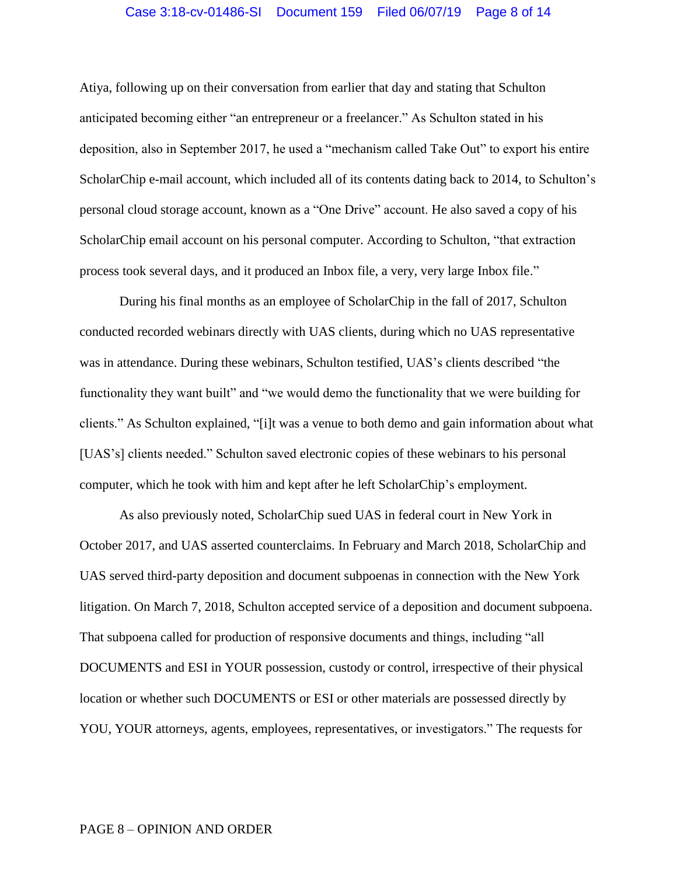### Case 3:18-cv-01486-SI Document 159 Filed 06/07/19 Page 8 of 14

Atiya, following up on their conversation from earlier that day and stating that Schulton anticipated becoming either "an entrepreneur or a freelancer." As Schulton stated in his deposition, also in September 2017, he used a "mechanism called Take Out" to export his entire ScholarChip e-mail account, which included all of its contents dating back to 2014, to Schulton's personal cloud storage account, known as a "One Drive" account. He also saved a copy of his ScholarChip email account on his personal computer. According to Schulton, "that extraction process took several days, and it produced an Inbox file, a very, very large Inbox file."

During his final months as an employee of ScholarChip in the fall of 2017, Schulton conducted recorded webinars directly with UAS clients, during which no UAS representative was in attendance. During these webinars, Schulton testified, UAS's clients described "the functionality they want built" and "we would demo the functionality that we were building for clients." As Schulton explained, "[i]t was a venue to both demo and gain information about what [UAS's] clients needed." Schulton saved electronic copies of these webinars to his personal computer, which he took with him and kept after he left ScholarChip's employment.

As also previously noted, ScholarChip sued UAS in federal court in New York in October 2017, and UAS asserted counterclaims. In February and March 2018, ScholarChip and UAS served third-party deposition and document subpoenas in connection with the New York litigation. On March 7, 2018, Schulton accepted service of a deposition and document subpoena. That subpoena called for production of responsive documents and things, including "all DOCUMENTS and ESI in YOUR possession, custody or control, irrespective of their physical location or whether such DOCUMENTS or ESI or other materials are possessed directly by YOU, YOUR attorneys, agents, employees, representatives, or investigators." The requests for

#### PAGE 8 – OPINION AND ORDER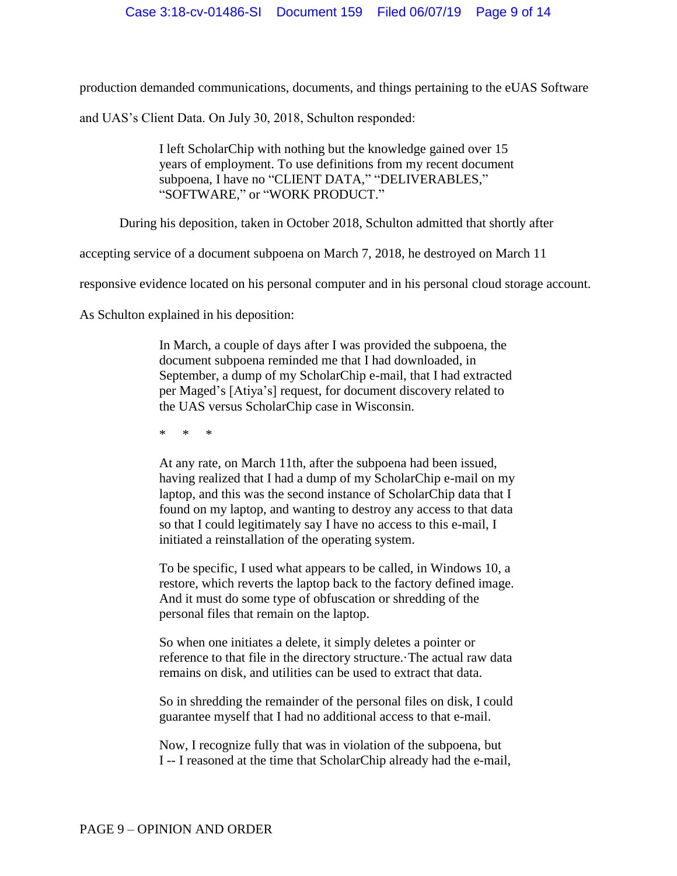production demanded communications, documents, and things pertaining to the eUAS Software

and UAS's Client Data. On July 30, 2018, Schulton responded:

I left ScholarChip with nothing but the knowledge gained over 15 years of employment. To use definitions from my recent document subpoena, I have no "CLIENT DATA," "DELIVERABLES," "SOFTWARE," or "WORK PRODUCT."

During his deposition, taken in October 2018, Schulton admitted that shortly after

accepting service of a document subpoena on March 7, 2018, he destroyed on March 11

responsive evidence located on his personal computer and in his personal cloud storage account.

As Schulton explained in his deposition:

In March, a couple of days after I was provided the subpoena, the document subpoena reminded me that I had downloaded, in September, a dump of my ScholarChip e-mail, that I had extracted per Maged's [Atiya's] request, for document discovery related to the UAS versus ScholarChip case in Wisconsin.

\* \* \*

At any rate, on March 11th, after the subpoena had been issued, having realized that I had a dump of my ScholarChip e-mail on my laptop, and this was the second instance of ScholarChip data that I found on my laptop, and wanting to destroy any access to that data so that I could legitimately say I have no access to this e-mail, I initiated a reinstallation of the operating system.

To be specific, I used what appears to be called, in Windows 10, a restore, which reverts the laptop back to the factory defined image. And it must do some type of obfuscation or shredding of the personal files that remain on the laptop.

So when one initiates a delete, it simply deletes a pointer or reference to that file in the directory structure.·The actual raw data remains on disk, and utilities can be used to extract that data.

So in shredding the remainder of the personal files on disk, I could guarantee myself that I had no additional access to that e-mail.

Now, I recognize fully that was in violation of the subpoena, but I -- I reasoned at the time that ScholarChip already had the e-mail,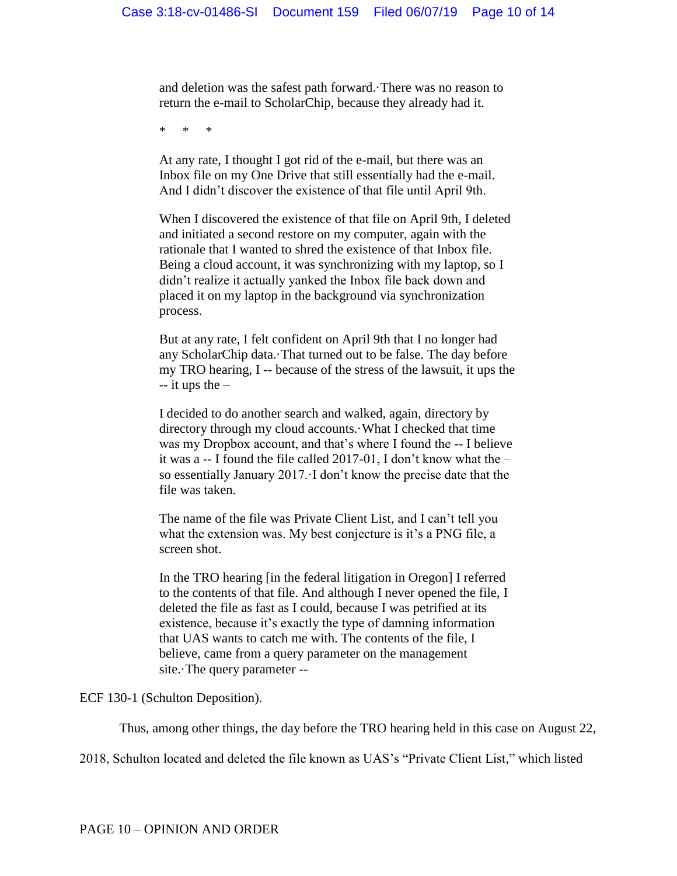and deletion was the safest path forward.·There was no reason to return the e-mail to ScholarChip, because they already had it.

\* \* \*

At any rate, I thought I got rid of the e-mail, but there was an Inbox file on my One Drive that still essentially had the e-mail. And I didn't discover the existence of that file until April 9th.

When I discovered the existence of that file on April 9th, I deleted and initiated a second restore on my computer, again with the rationale that I wanted to shred the existence of that Inbox file. Being a cloud account, it was synchronizing with my laptop, so I didn't realize it actually yanked the Inbox file back down and placed it on my laptop in the background via synchronization process.

But at any rate, I felt confident on April 9th that I no longer had any ScholarChip data.·That turned out to be false. The day before my TRO hearing, I -- because of the stress of the lawsuit, it ups the  $-$  it ups the  $-$ 

I decided to do another search and walked, again, directory by directory through my cloud accounts.·What I checked that time was my Dropbox account, and that's where I found the -- I believe it was a -- I found the file called 2017-01, I don't know what the – so essentially January 2017.·I don't know the precise date that the file was taken.

The name of the file was Private Client List, and I can't tell you what the extension was. My best conjecture is it's a PNG file, a screen shot.

In the TRO hearing [in the federal litigation in Oregon] I referred to the contents of that file. And although I never opened the file, I deleted the file as fast as I could, because I was petrified at its existence, because it's exactly the type of damning information that UAS wants to catch me with. The contents of the file, I believe, came from a query parameter on the management site.·The query parameter --

#### ECF 130-1 (Schulton Deposition).

Thus, among other things, the day before the TRO hearing held in this case on August 22,

2018, Schulton located and deleted the file known as UAS's "Private Client List," which listed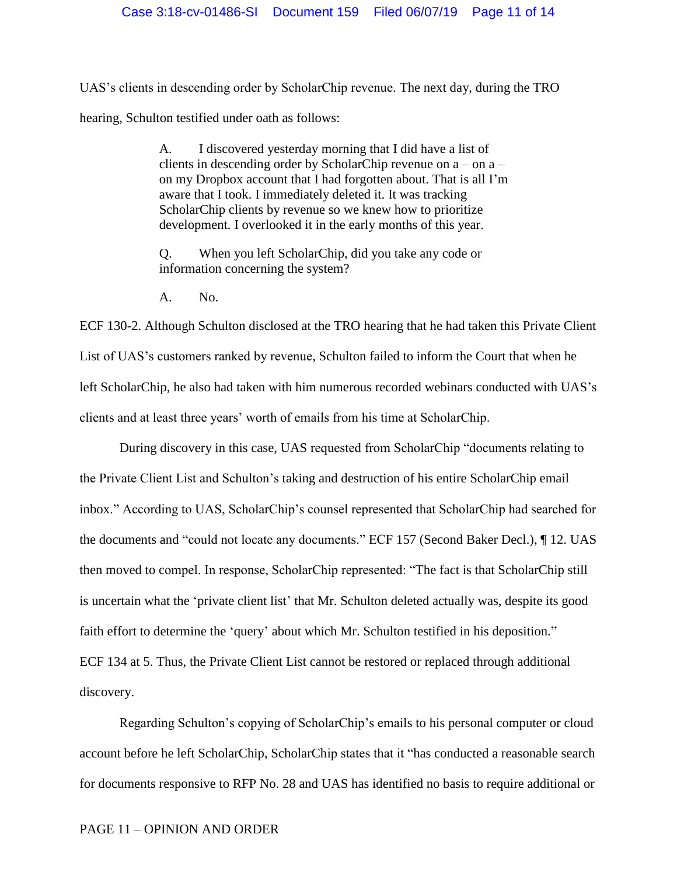UAS's clients in descending order by ScholarChip revenue. The next day, during the TRO hearing, Schulton testified under oath as follows:

> A. I discovered yesterday morning that I did have a list of clients in descending order by ScholarChip revenue on a – on a – on my Dropbox account that I had forgotten about. That is all I'm aware that I took. I immediately deleted it. It was tracking ScholarChip clients by revenue so we knew how to prioritize development. I overlooked it in the early months of this year.

When you left ScholarChip, did you take any code or information concerning the system?

A. No.

ECF 130-2. Although Schulton disclosed at the TRO hearing that he had taken this Private Client List of UAS's customers ranked by revenue, Schulton failed to inform the Court that when he left ScholarChip, he also had taken with him numerous recorded webinars conducted with UAS's clients and at least three years' worth of emails from his time at ScholarChip.

During discovery in this case, UAS requested from ScholarChip "documents relating to the Private Client List and Schulton's taking and destruction of his entire ScholarChip email inbox." According to UAS, ScholarChip's counsel represented that ScholarChip had searched for the documents and "could not locate any documents." ECF 157 (Second Baker Decl.), ¶ 12. UAS then moved to compel. In response, ScholarChip represented: "The fact is that ScholarChip still is uncertain what the 'private client list' that Mr. Schulton deleted actually was, despite its good faith effort to determine the 'query' about which Mr. Schulton testified in his deposition." ECF 134 at 5. Thus, the Private Client List cannot be restored or replaced through additional discovery.

Regarding Schulton's copying of ScholarChip's emails to his personal computer or cloud account before he left ScholarChip, ScholarChip states that it "has conducted a reasonable search for documents responsive to RFP No. 28 and UAS has identified no basis to require additional or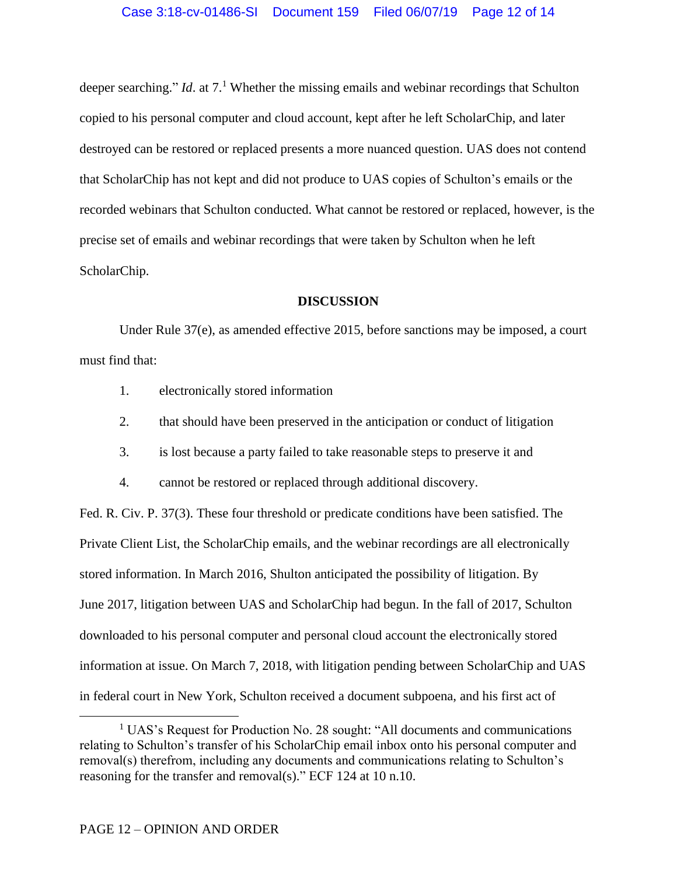deeper searching." *Id.* at 7.<sup>1</sup> Whether the missing emails and webinar recordings that Schulton copied to his personal computer and cloud account, kept after he left ScholarChip, and later destroyed can be restored or replaced presents a more nuanced question. UAS does not contend that ScholarChip has not kept and did not produce to UAS copies of Schulton's emails or the recorded webinars that Schulton conducted. What cannot be restored or replaced, however, is the precise set of emails and webinar recordings that were taken by Schulton when he left ScholarChip.

### **DISCUSSION**

Under Rule 37(e), as amended effective 2015, before sanctions may be imposed, a court must find that:

- 1. electronically stored information
- 2. that should have been preserved in the anticipation or conduct of litigation
- 3. is lost because a party failed to take reasonable steps to preserve it and
- 4. cannot be restored or replaced through additional discovery.

Fed. R. Civ. P. 37(3). These four threshold or predicate conditions have been satisfied. The Private Client List, the ScholarChip emails, and the webinar recordings are all electronically stored information. In March 2016, Shulton anticipated the possibility of litigation. By June 2017, litigation between UAS and ScholarChip had begun. In the fall of 2017, Schulton downloaded to his personal computer and personal cloud account the electronically stored information at issue. On March 7, 2018, with litigation pending between ScholarChip and UAS in federal court in New York, Schulton received a document subpoena, and his first act of

 $\overline{a}$ 

<sup>&</sup>lt;sup>1</sup> UAS's Request for Production No. 28 sought: "All documents and communications" relating to Schulton's transfer of his ScholarChip email inbox onto his personal computer and removal(s) therefrom, including any documents and communications relating to Schulton's reasoning for the transfer and removal(s)." ECF 124 at 10 n.10.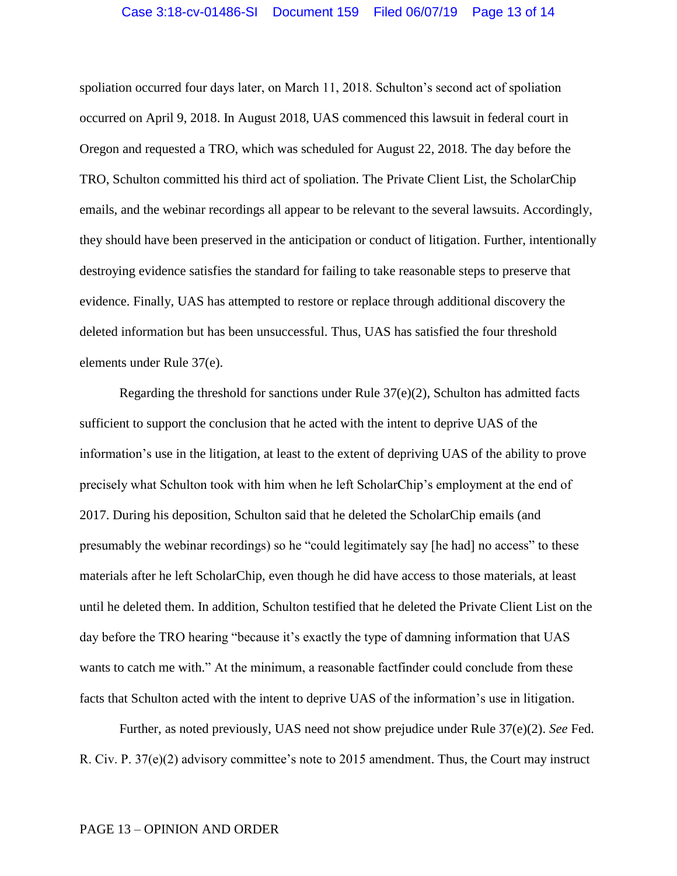## Case 3:18-cv-01486-SI Document 159 Filed 06/07/19 Page 13 of 14

spoliation occurred four days later, on March 11, 2018. Schulton's second act of spoliation occurred on April 9, 2018. In August 2018, UAS commenced this lawsuit in federal court in Oregon and requested a TRO, which was scheduled for August 22, 2018. The day before the TRO, Schulton committed his third act of spoliation. The Private Client List, the ScholarChip emails, and the webinar recordings all appear to be relevant to the several lawsuits. Accordingly, they should have been preserved in the anticipation or conduct of litigation. Further, intentionally destroying evidence satisfies the standard for failing to take reasonable steps to preserve that evidence. Finally, UAS has attempted to restore or replace through additional discovery the deleted information but has been unsuccessful. Thus, UAS has satisfied the four threshold elements under Rule 37(e).

Regarding the threshold for sanctions under Rule 37(e)(2), Schulton has admitted facts sufficient to support the conclusion that he acted with the intent to deprive UAS of the information's use in the litigation, at least to the extent of depriving UAS of the ability to prove precisely what Schulton took with him when he left ScholarChip's employment at the end of 2017. During his deposition, Schulton said that he deleted the ScholarChip emails (and presumably the webinar recordings) so he "could legitimately say [he had] no access" to these materials after he left ScholarChip, even though he did have access to those materials, at least until he deleted them. In addition, Schulton testified that he deleted the Private Client List on the day before the TRO hearing "because it's exactly the type of damning information that UAS wants to catch me with." At the minimum, a reasonable factfinder could conclude from these facts that Schulton acted with the intent to deprive UAS of the information's use in litigation.

Further, as noted previously, UAS need not show prejudice under Rule 37(e)(2). *See* Fed. R. Civ. P. 37(e)(2) advisory committee's note to 2015 amendment. Thus, the Court may instruct